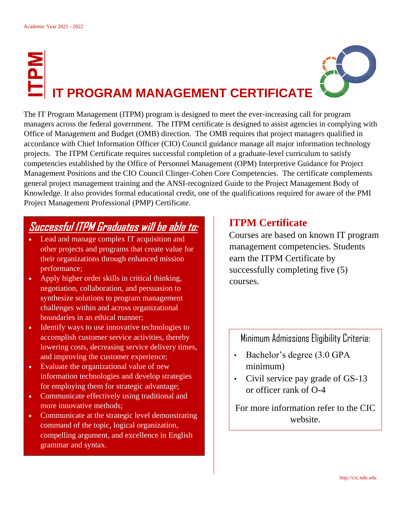## **IT PROGRAM MANAGEMENT CERTIFICATE**

The IT Program Management (ITPM) program is designed to meet the ever-increasing call for program managers across the federal government. The ITPM certificate is designed to assist agencies in complying with Office of Management and Budget (OMB) direction. The OMB requires that project managers qualified in accordance with Chief Information Officer (CIO) Council guidance manage all major information technology projects. The ITPM Certificate requires successful completion of a graduate-level curriculum to satisfy competencies established by the Office of Personnel Management (OPM) Interpretive Guidance for Project Management Positions and the CIO Council Clinger-Cohen Core Competencies. The certificate complements general project management training and the ANSI-recognized Guide to the Project Management Body of Knowledge. It also provides formal educational credit, one of the qualifications required for aware of the PMI Project Management Professional (PMP) Certificate.

## **Successful ITPM Graduates will be able to:**

- Lead and manage complex IT acquisition and other projects and programs that create value for their organizations through enhanced mission performance;
- Apply higher order skills in critical thinking, negotiation, collaboration, and persuasion to synthesize solutions to program management challenges within and across organizational boundaries in an ethical manner;
- Identify ways to use innovative technologies to accomplish customer service activities, thereby lowering costs, decreasing service delivery times, and improving the customer experience;
- Evaluate the organizational value of new information technologies and develop strategies for employing them for strategic advantage;
- Communicate effectively using traditional and more innovative methods;
- Communicate at the strategic level demonstrating command of the topic, logical organization, compelling argument, and excellence in English grammar and syntax.

## **ITPM Certificate**

Courses are based on known IT program management competencies. Students earn the ITPM Certificate by successfully completing five (5) courses.

Minimum Admissions Eligibility Criteria:

- Bachelor's degree (3.0 GPA minimum)
- Civil service pay grade of GS-13 or officer rank of O-4

For more information refer to the CIC website.